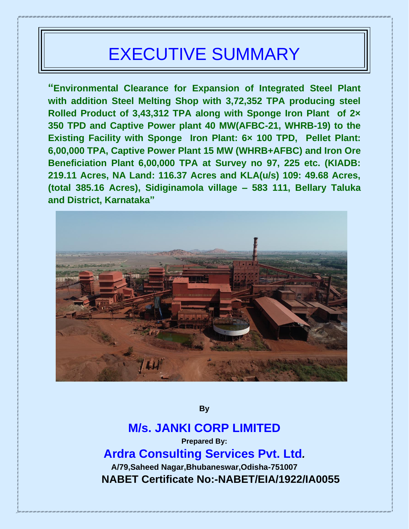# EXECUTIVE SUMMARY

**"Environmental Clearance for Expansion of Integrated Steel Plant with addition Steel Melting Shop with 3,72,352 TPA producing steel Rolled Product of 3,43,312 TPA along with Sponge Iron Plant of 2× 350 TPD and Captive Power plant 40 MW(AFBC-21, WHRB-19) to the Existing Facility with Sponge Iron Plant: 6× 100 TPD, Pellet Plant: 6,00,000 TPA, Captive Power Plant 15 MW (WHRB+AFBC) and Iron Ore Beneficiation Plant 6,00,000 TPA at Survey no 97, 225 etc. (KIADB: 219.11 Acres, NA Land: 116.37 Acres and KLA(u/s) 109: 49.68 Acres, (total 385.16 Acres), Sidiginamola village – 583 111, Bellary Taluka and District, Karnataka"**



**By**

## **M/s. JANKI CORP LIMITED Prepared By:**

**Ardra Consulting Services Pvt. Ltd***.*

**A/79,Saheed Nagar,Bhubaneswar,Odisha-751007 NABET Certificate No:-NABET/EIA/1922/IA0055**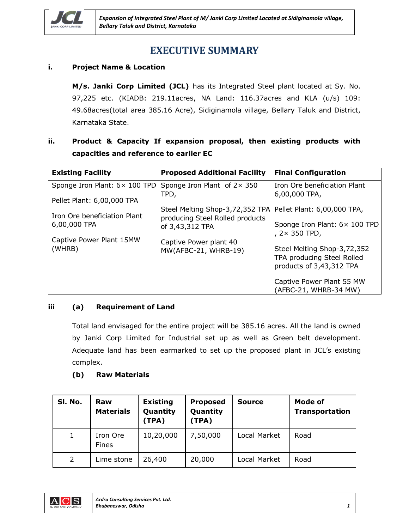

## **EXECUTIVE SUMMARY**

#### **i. Project Name & Location**

**M/s. Janki Corp Limited (JCL)** has its Integrated Steel plant located at Sy. No. 97,225 etc. (KIADB: 219.11acres, NA Land: 116.37acres and KLA (u/s) 109: 49.68acres(total area 385.16 Acre), Sidiginamola village, Bellary Taluk and District, Karnataka State.

### **ii. Product & Capacity If expansion proposal, then existing products with capacities and reference to earlier EC**

| <b>Existing Facility</b>      | <b>Proposed Additional Facility</b>                | <b>Final Configuration</b>                             |
|-------------------------------|----------------------------------------------------|--------------------------------------------------------|
| Sponge Iron Plant: 6× 100 TPD | Sponge Iron Plant of $2 \times 350$<br>TPD,        | Iron Ore beneficiation Plant<br>6,00,000 TPA,          |
| Pellet Plant: 6,00,000 TPA    |                                                    |                                                        |
| Iron Ore beneficiation Plant  | Steel Melting Shop-3,72,352 TPA                    | Pellet Plant: 6,00,000 TPA,                            |
| 6,00,000 TPA                  | producing Steel Rolled products<br>of 3,43,312 TPA | Sponge Iron Plant: 6× 100 TPD<br>, $2 \times 350$ TPD, |
| Captive Power Plant 15MW      | Captive Power plant 40                             |                                                        |
| (WHRB)                        | MW(AFBC-21, WHRB-19)                               | Steel Melting Shop-3,72,352                            |
|                               |                                                    | TPA producing Steel Rolled<br>products of 3,43,312 TPA |
|                               |                                                    |                                                        |
|                               |                                                    | Captive Power Plant 55 MW                              |
|                               |                                                    | (AFBC-21, WHRB-34 MW)                                  |

#### **iii (a) Requirement of Land**

Total land envisaged for the entire project will be 385.16 acres. All the land is owned by Janki Corp Limited for Industrial set up as well as Green belt development. Adequate land has been earmarked to set up the proposed plant in JCL's existing complex.

#### **(b) Raw Materials**

| SI. No.        | Raw<br><b>Materials</b>  | <b>Existing</b><br>Quantity<br>(TPA) | <b>Proposed</b><br>Quantity<br>(TPA) | <b>Source</b> | Mode of<br><b>Transportation</b> |
|----------------|--------------------------|--------------------------------------|--------------------------------------|---------------|----------------------------------|
| $\mathbf{1}$   | Iron Ore<br><b>Fines</b> | 10,20,000                            | 7,50,000                             | Local Market  | Road                             |
| $\overline{2}$ | Lime stone               | 26,400                               | 20,000                               | Local Market  | Road                             |

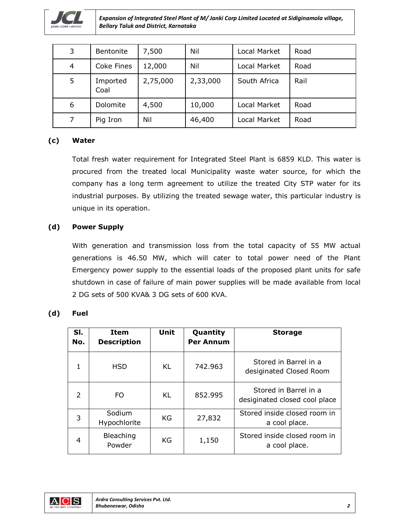

*Expansion of Integrated Steel Plant of M/ Janki Corp Limited Located at Sidiginamola village, Bellary Taluk and District, Karnataka*

| 3 | Bentonite        | 7,500    | Nil      | Local Market | Road |
|---|------------------|----------|----------|--------------|------|
| 4 | Coke Fines       | 12,000   | Nil      | Local Market | Road |
| 5 | Imported<br>Coal | 2,75,000 | 2,33,000 | South Africa | Rail |
| 6 | Dolomite         | 4,500    | 10,000   | Local Market | Road |
| 7 | Pig Iron         | Nil      | 46,400   | Local Market | Road |

#### **(c) Water**

Total fresh water requirement for Integrated Steel Plant is 6859 KLD. This water is procured from the treated local Municipality waste water source, for which the company has a long term agreement to utilize the treated City STP water for its industrial purposes. By utilizing the treated sewage water, this particular industry is unique in its operation.

#### **(d) Power Supply**

With generation and transmission loss from the total capacity of 55 MW actual generations is 46.50 MW, which will cater to total power need of the Plant Emergency power supply to the essential loads of the proposed plant units for safe shutdown in case of failure of main power supplies will be made available from local 2 DG sets of 500 KVA& 3 DG sets of 600 KVA.

#### **(d) Fuel**

| SI.<br>No. | <b>Item</b><br><b>Description</b> | Unit | Quantity<br><b>Per Annum</b> | <b>Storage</b>                                         |
|------------|-----------------------------------|------|------------------------------|--------------------------------------------------------|
| 1          | <b>HSD</b>                        | KL   | 742.963                      | Stored in Barrel in a<br>desiginated Closed Room       |
| 2          | FO.                               | KL   | 852.995                      | Stored in Barrel in a<br>desiginated closed cool place |
| 3          | Sodium<br>Hypochlorite            | KG   | 27,832                       | Stored inside closed room in<br>a cool place.          |
| 4          | Bleaching<br>Powder               | KG   | 1,150                        | Stored inside closed room in<br>a cool place.          |

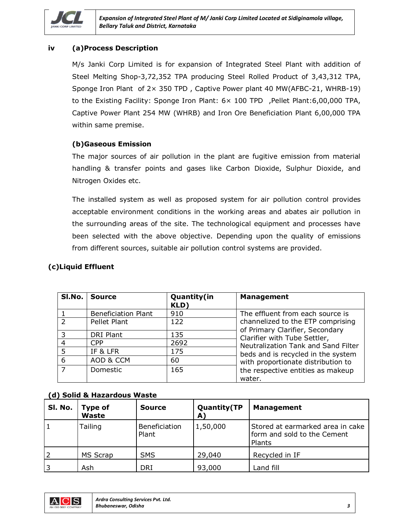

#### **iv (a)Process Description**

M/s Janki Corp Limited is for expansion of Integrated Steel Plant with addition of Steel Melting Shop-3,72,352 TPA producing Steel Rolled Product of 3,43,312 TPA, Sponge Iron Plant of  $2 \times 350$  TPD, Captive Power plant 40 MW(AFBC-21, WHRB-19) to the Existing Facility: Sponge Iron Plant: 6× 100 TPD ,Pellet Plant:6,00,000 TPA, Captive Power Plant 254 MW (WHRB) and Iron Ore Beneficiation Plant 6,00,000 TPA within same premise.

#### **(b)Gaseous Emission**

The major sources of air pollution in the plant are fugitive emission from material handling & transfer points and gases like Carbon Dioxide, Sulphur Dioxide, and Nitrogen Oxides etc.

The installed system as well as proposed system for air pollution control provides acceptable environment conditions in the working areas and abates air pollution in the surrounding areas of the site. The technological equipment and processes have been selected with the above objective. Depending upon the quality of emissions from different sources, suitable air pollution control systems are provided.

#### **(c)Liquid Effluent**

| Sl.No.         | <b>Source</b>              | Quantity(in<br>KLD) | <b>Management</b>                                                    |
|----------------|----------------------------|---------------------|----------------------------------------------------------------------|
|                | <b>Beneficiation Plant</b> | 910                 | The effluent from each source is                                     |
| $\mathcal{P}$  | Pellet Plant               | 122                 | channelized to the ETP comprising<br>of Primary Clarifier, Secondary |
| 3              | <b>DRI Plant</b>           | 135                 | Clarifier with Tube Settler,                                         |
| $\overline{4}$ | CPP                        | 2692                | Neutralization Tank and Sand Filter                                  |
| 5              | IF & LFR                   | 175                 | beds and is recycled in the system                                   |
| 6              | AOD & CCM                  | 60                  | with proportionate distribution to                                   |
| $\overline{7}$ | <b>Domestic</b>            | 165                 | the respective entities as makeup<br>water.                          |

#### **(d) Solid & Hazardous Waste**

| SI. No.  | <b>Type of</b><br>Waste | <b>Source</b>          | <b>Quantity</b> (TP<br>A) | <b>Management</b>                                                         |
|----------|-------------------------|------------------------|---------------------------|---------------------------------------------------------------------------|
|          | Tailing                 | Beneficiation<br>Plant | 1,50,000                  | Stored at earmarked area in cake<br>form and sold to the Cement<br>Plants |
|          | MS Scrap                | <b>SMS</b>             | 29,040                    | Recycled in IF                                                            |
| <b>3</b> | Ash                     | DRI                    | 93,000                    | and fill                                                                  |

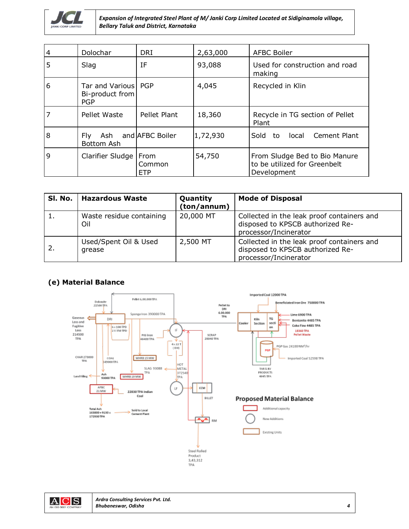

*Expansion of Integrated Steel Plant of M/ Janki Corp Limited Located at Sidiginamola village, Bellary Taluk and District, Karnataka*

| $\overline{4}$ | Dolochar                                               | <b>DRI</b>             | 2,63,000 | <b>AFBC Boiler</b>                                                           |
|----------------|--------------------------------------------------------|------------------------|----------|------------------------------------------------------------------------------|
| 5              | Slag                                                   | ΙF                     | 93,088   | Used for construction and road<br>making                                     |
| 6              | Tar and Various   PGP<br>Bi-product from<br><b>PGP</b> |                        | 4,045    | Recycled in Klin                                                             |
|                | Pellet Waste                                           | Pellet Plant           | 18,360   | Recycle in TG section of Pellet<br>Plant                                     |
| 8              | Fly.<br>Ash<br>Bottom Ash                              | and <b>AFBC</b> Boiler | 1,72,930 | Sold<br>Cement Plant<br>local<br>to                                          |
| 9              | Clarifier Sludge   From                                | Common<br><b>ETP</b>   | 54,750   | From Sludge Bed to Bio Manure<br>to be utilized for Greenbelt<br>Development |

| SI. No.   | <b>Hazardous Waste</b>          | Quantity<br>(ton/annum) | <b>Mode of Disposal</b>                                                                                 |
|-----------|---------------------------------|-------------------------|---------------------------------------------------------------------------------------------------------|
| <b>L.</b> | Waste residue containing<br>Oil | 20,000 MT               | Collected in the leak proof containers and<br>disposed to KPSCB authorized Re-<br>processor/Incinerator |
| -2.       | Used/Spent Oil & Used<br>grease | 2,500 MT                | Collected in the leak proof containers and<br>disposed to KPSCB authorized Re-<br>processor/Incinerator |

#### **(e) Material Balance**



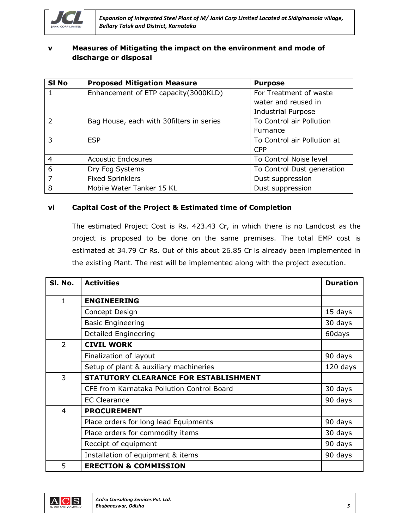

#### **v Measures of Mitigating the impact on the environment and mode of discharge or disposal**

| SI <sub>No</sub> | <b>Proposed Mitigation Measure</b>        | <b>Purpose</b>              |
|------------------|-------------------------------------------|-----------------------------|
| 1                | Enhancement of ETP capacity(3000KLD)      | For Treatment of waste      |
|                  |                                           | water and reused in         |
|                  |                                           | <b>Industrial Purpose</b>   |
| $\mathcal{P}$    | Bag House, each with 30 filters in series | To Control air Pollution    |
|                  |                                           | Furnance                    |
| 3                | <b>ESP</b>                                | To Control air Pollution at |
|                  |                                           | <b>CPP</b>                  |
| $\overline{4}$   | <b>Acoustic Enclosures</b>                | To Control Noise level      |
| 6                | Dry Fog Systems                           | To Control Dust generation  |
| $\overline{7}$   | <b>Fixed Sprinklers</b>                   | Dust suppression            |
| 8                | Mobile Water Tanker 15 KL                 | Dust suppression            |

#### **vi Capital Cost of the Project & Estimated time of Completion**

The estimated Project Cost is Rs. 423.43 Cr, in which there is no Landcost as the project is proposed to be done on the same premises. The total EMP cost is estimated at 34.79 Cr Rs. Out of this about 26.85 Cr is already been implemented in the existing Plant. The rest will be implemented along with the project execution.

| SI. No.        | <b>Activities</b>                          | <b>Duration</b> |
|----------------|--------------------------------------------|-----------------|
| 1              | <b>ENGINEERING</b>                         |                 |
|                | Concept Design                             | 15 days         |
|                | <b>Basic Engineering</b>                   | 30 days         |
|                | Detailed Engineering                       | 60days          |
| $\overline{2}$ | <b>CIVIL WORK</b>                          |                 |
|                | Finalization of layout                     | 90 days         |
|                | Setup of plant & auxiliary machineries     | 120 days        |
| 3              | STATUTORY CLEARANCE FOR ESTABLISHMENT      |                 |
|                | CFE from Karnataka Pollution Control Board | 30 days         |
|                | <b>EC Clearance</b>                        | 90 days         |
| 4              | <b>PROCUREMENT</b>                         |                 |
|                | Place orders for long lead Equipments      | 90 days         |
|                | Place orders for commodity items           | 30 days         |
|                | Receipt of equipment                       | 90 days         |
|                | Installation of equipment & items          | 90 days         |
| 5              | <b>ERECTION &amp; COMMISSION</b>           |                 |

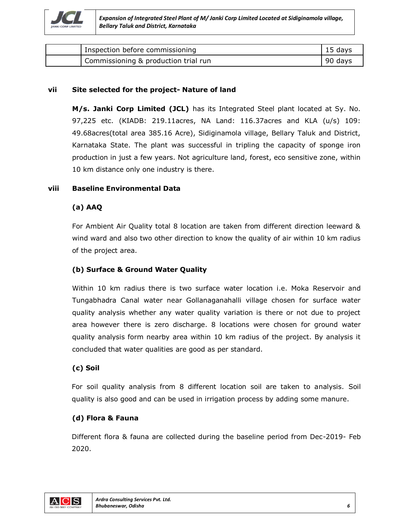

| Inspection before commissioning      | 15 days |
|--------------------------------------|---------|
| Commissioning & production trial run | 90 days |

#### **vii Site selected for the project- Nature of land**

**M/s. Janki Corp Limited (JCL)** has its Integrated Steel plant located at Sy. No. 97,225 etc. (KIADB: 219.11acres, NA Land: 116.37acres and KLA (u/s) 109: 49.68acres(total area 385.16 Acre), Sidiginamola village, Bellary Taluk and District, Karnataka State. The plant was successful in tripling the capacity of sponge iron production in just a few years. Not agriculture land, forest, eco sensitive zone, within 10 km distance only one industry is there.

#### **viii Baseline Environmental Data**

#### **(a) AAQ**

For Ambient Air Quality total 8 location are taken from different direction leeward & wind ward and also two other direction to know the quality of air within 10 km radius of the project area.

#### **(b) Surface & Ground Water Quality**

Within 10 km radius there is two surface water location i.e. Moka Reservoir and Tungabhadra Canal water near Gollanaganahalli village chosen for surface water quality analysis whether any water quality variation is there or not due to project area however there is zero discharge. 8 locations were chosen for ground water quality analysis form nearby area within 10 km radius of the project. By analysis it concluded that water qualities are good as per standard.

#### **(c) Soil**

For soil quality analysis from 8 different location soil are taken to analysis. Soil quality is also good and can be used in irrigation process by adding some manure.

#### **(d) Flora & Fauna**

Different flora & fauna are collected during the baseline period from Dec-2019- Feb 2020.

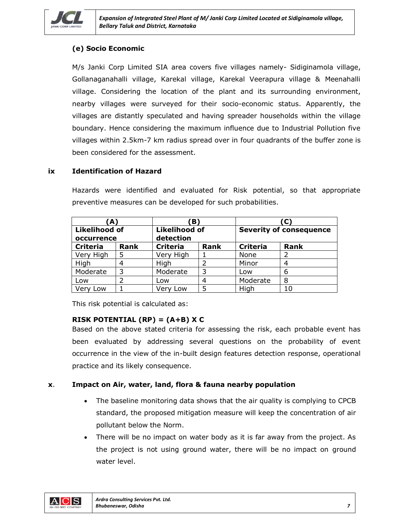

#### **(e) Socio Economic**

M/s Janki Corp Limited SIA area covers five villages namely- Sidiginamola village, Gollanaganahalli village, Karekal village, Karekal Veerapura village & Meenahalli village. Considering the location of the plant and its surrounding environment, nearby villages were surveyed for their socio-economic status. Apparently, the villages are distantly speculated and having spreader households within the village boundary. Hence considering the maximum influence due to Industrial Pollution five villages within 2.5km-7 km radius spread over in four quadrants of the buffer zone is been considered for the assessment.

#### **ix Identification of Hazard**

Hazards were identified and evaluated for Risk potential, so that appropriate preventive measures can be developed for such probabilities.

| (A)                                |             |                                   | B,          |                                | (C'         |  |
|------------------------------------|-------------|-----------------------------------|-------------|--------------------------------|-------------|--|
| <b>Likelihood of</b><br>occurrence |             | <b>Likelihood of</b><br>detection |             | <b>Severity of consequence</b> |             |  |
| <b>Criteria</b>                    | <b>Rank</b> | <b>Criteria</b>                   | <b>Rank</b> | <b>Criteria</b>                | <b>Rank</b> |  |
| Very High                          |             | Very High                         |             | None                           | 2           |  |
| High                               |             | High                              |             | Minor                          | 4           |  |
| Moderate                           | 3           | Moderate                          | 3           | Low                            | 6           |  |
| Low                                |             | Low                               |             | Moderate                       | 8           |  |
| Verv<br>Low                        |             | Verv Low                          |             | High                           | 10          |  |

This risk potential is calculated as:

#### **RISK POTENTIAL (RP) = (A+B) X C**

Based on the above stated criteria for assessing the risk, each probable event has been evaluated by addressing several questions on the probability of event occurrence in the view of the in-built design features detection response, operational practice and its likely consequence.

#### **x**. **Impact on Air, water, land, flora & fauna nearby population**

- The baseline monitoring data shows that the air quality is complying to CPCB standard, the proposed mitigation measure will keep the concentration of air pollutant below the Norm.
- There will be no impact on water body as it is far away from the project. As the project is not using ground water, there will be no impact on ground water level.

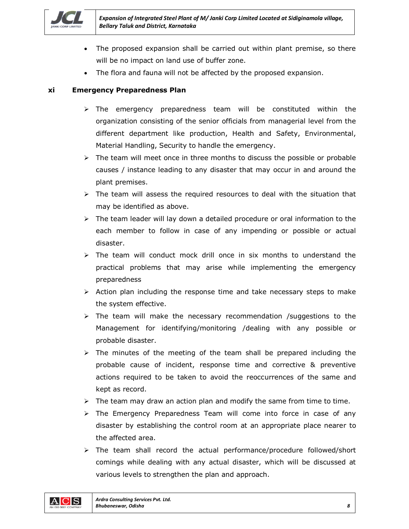

- The proposed expansion shall be carried out within plant premise, so there will be no impact on land use of buffer zone.
- The flora and fauna will not be affected by the proposed expansion.

#### **xi Emergency Preparedness Plan**

- $\triangleright$  The emergency preparedness team will be constituted within the organization consisting of the senior officials from managerial level from the different department like production, Health and Safety, Environmental, Material Handling, Security to handle the emergency.
- $\triangleright$  The team will meet once in three months to discuss the possible or probable causes / instance leading to any disaster that may occur in and around the plant premises.
- $\triangleright$  The team will assess the required resources to deal with the situation that may be identified as above.
- $\triangleright$  The team leader will lay down a detailed procedure or oral information to the each member to follow in case of any impending or possible or actual disaster.
- $\geq$  The team will conduct mock drill once in six months to understand the practical problems that may arise while implementing the emergency preparedness
- $\triangleright$  Action plan including the response time and take necessary steps to make the system effective.
- $\triangleright$  The team will make the necessary recommendation /suggestions to the Management for identifying/monitoring /dealing with any possible or probable disaster.
- $\triangleright$  The minutes of the meeting of the team shall be prepared including the probable cause of incident, response time and corrective & preventive actions required to be taken to avoid the reoccurrences of the same and kept as record.
- $\triangleright$  The team may draw an action plan and modify the same from time to time.
- $\triangleright$  The Emergency Preparedness Team will come into force in case of any disaster by establishing the control room at an appropriate place nearer to the affected area.
- $\triangleright$  The team shall record the actual performance/procedure followed/short comings while dealing with any actual disaster, which will be discussed at various levels to strengthen the plan and approach.

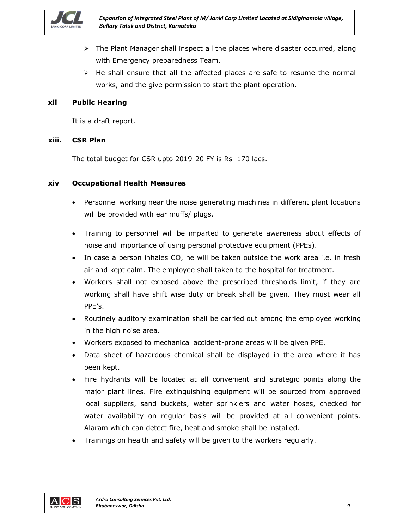

- $\triangleright$  The Plant Manager shall inspect all the places where disaster occurred, along with Emergency preparedness Team.
- $\triangleright$  He shall ensure that all the affected places are safe to resume the normal works, and the give permission to start the plant operation.

#### **xii Public Hearing**

It is a draft report.

#### **xiii. CSR Plan**

The total budget for CSR upto 2019-20 FY is Rs 170 lacs.

#### **xiv Occupational Health Measures**

- Personnel working near the noise generating machines in different plant locations will be provided with ear muffs/ plugs.
- Training to personnel will be imparted to generate awareness about effects of noise and importance of using personal protective equipment (PPEs).
- In case a person inhales CO, he will be taken outside the work area i.e. in fresh air and kept calm. The employee shall taken to the hospital for treatment.
- Workers shall not exposed above the prescribed thresholds limit, if they are working shall have shift wise duty or break shall be given. They must wear all PPE's.
- Routinely auditory examination shall be carried out among the employee working in the high noise area.
- Workers exposed to mechanical accident-prone areas will be given PPE.
- Data sheet of hazardous chemical shall be displayed in the area where it has been kept.
- Fire hydrants will be located at all convenient and strategic points along the major plant lines. Fire extinguishing equipment will be sourced from approved local suppliers, sand buckets, water sprinklers and water hoses, checked for water availability on regular basis will be provided at all convenient points. Alaram which can detect fire, heat and smoke shall be installed.
- Trainings on health and safety will be given to the workers regularly.

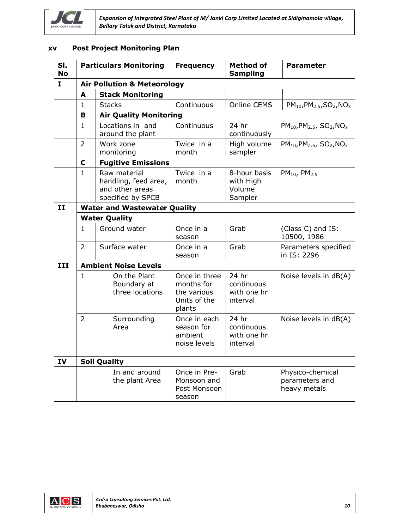

#### **xv Post Project Monitoring Plan**

| SI.<br><b>No</b> | <b>Particulars Monitoring</b> |                                                                              | <b>Frequency</b>                                                     | <b>Method of</b><br><b>Sampling</b>            | <b>Parameter</b>                                   |  |
|------------------|-------------------------------|------------------------------------------------------------------------------|----------------------------------------------------------------------|------------------------------------------------|----------------------------------------------------|--|
| 1                |                               | <b>Air Pollution &amp; Meteorology</b>                                       |                                                                      |                                                |                                                    |  |
|                  | A                             | <b>Stack Monitoring</b>                                                      |                                                                      |                                                |                                                    |  |
|                  | $\mathbf{1}$                  | <b>Stacks</b>                                                                | Continuous                                                           | Online CEMS                                    | $PM_{10}$ , $PM_{2.5}$ , $SO_2$ , $NO_x$           |  |
|                  | B                             | <b>Air Quality Monitoring</b>                                                |                                                                      |                                                |                                                    |  |
|                  | $\mathbf{1}$                  | Locations in and<br>around the plant                                         | Continuous                                                           | 24 hr<br>continuously                          | $PM_{10}$ , $PM_{2.5}$ , $SO_2$ , $NO_x$           |  |
|                  | $\overline{2}$                | Work zone<br>monitoring                                                      | Twice in a<br>month                                                  | High volume<br>sampler                         | $PM_{10}$ , $PM_{2.5}$ , $SO_2$ , $NO_x$           |  |
|                  | $\mathbf C$                   | <b>Fugitive Emissions</b>                                                    |                                                                      |                                                |                                                    |  |
|                  | $\mathbf{1}$                  | Raw material<br>handling, feed area,<br>and other areas<br>specified by SPCB | Twice in a<br>month                                                  | 8-hour basis<br>with High<br>Volume<br>Sampler | $PM_{10}$ , $PM_{2.5}$                             |  |
| II               |                               | <b>Water and Wastewater Quality</b>                                          |                                                                      |                                                |                                                    |  |
|                  | <b>Water Quality</b>          |                                                                              |                                                                      |                                                |                                                    |  |
|                  | $\mathbf{1}$                  | Ground water                                                                 | Once in a<br>season                                                  | Grab                                           | (Class C) and IS:<br>10500, 1986                   |  |
|                  | $\overline{2}$                | Surface water                                                                | Once in a<br>season                                                  | Grab                                           | Parameters specified<br>in IS: 2296                |  |
| III              | <b>Ambient Noise Levels</b>   |                                                                              |                                                                      |                                                |                                                    |  |
|                  | $\mathbf{1}$                  | On the Plant<br>Boundary at<br>three locations                               | Once in three<br>months for<br>the various<br>Units of the<br>plants | 24 hr<br>continuous<br>with one hr<br>interval | Noise levels in dB(A)                              |  |
|                  | 2                             | Surrounding<br>Area                                                          | Once in each<br>season for<br>ambient<br>noise levels                | 24 hr<br>continuous<br>with one hr<br>interval | Noise levels in dB(A)                              |  |
| IV               |                               | <b>Soil Quality</b>                                                          |                                                                      |                                                |                                                    |  |
|                  |                               | In and around<br>the plant Area                                              | Once in Pre-<br>Monsoon and<br>Post Monsoon<br>season                | Grab                                           | Physico-chemical<br>parameters and<br>heavy metals |  |